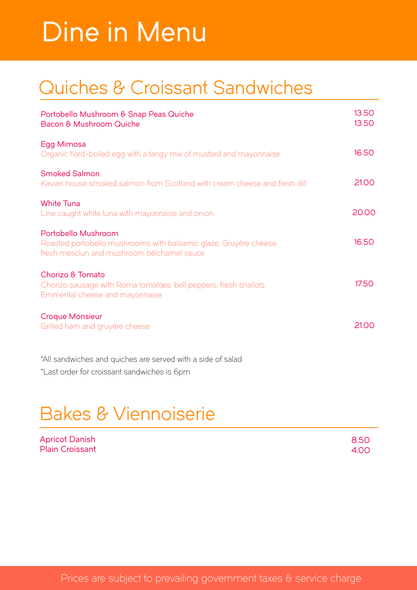# Dine in Menu

## Quiches & Croissant Sandwiches

| Portobello Mushroom & Snap Peas Quiche<br>Bacon & Mushroom Quiche                                                                      | 13.50<br>13.50 |
|----------------------------------------------------------------------------------------------------------------------------------------|----------------|
| Egg Mimosa<br>Organic hard-boiled egg with a tangy mix of mustard and mayonnaise                                                       | 16.50          |
| <b>Smoked Salmon</b><br>Kaviari house smoked salmon from Scotland with cream cheese and fresh dill                                     | 21.00          |
| <b>White Tuna</b><br>Line caught white tuna with mayonnaise and onion                                                                  | 20.00          |
| Portobello Mushroom<br>Roasted portobello mushrooms with balsamic glaze, Gruyère cheese,<br>fresh mesclun and mushroom bélchamel sauce | 16.50          |
| Chorizo & Tomato<br>Chorizo sausage with Roma tomatoes, bell peppers, fresh shallots,<br>Emmental cheese and mayonnaise                | 17.50          |
| <b>Croque Monsieur</b><br>Grilled ham and gruyère cheese                                                                               | 21.00          |
| *All sandwiches and quiches are served with a side of salad                                                                            |                |

\*Last order for croissant sandwiches is 6pm

## Bakes & Viennoiserie

| <b>Apricot Danish</b>  | 8.50 |
|------------------------|------|
| <b>Plain Croissant</b> | 4.00 |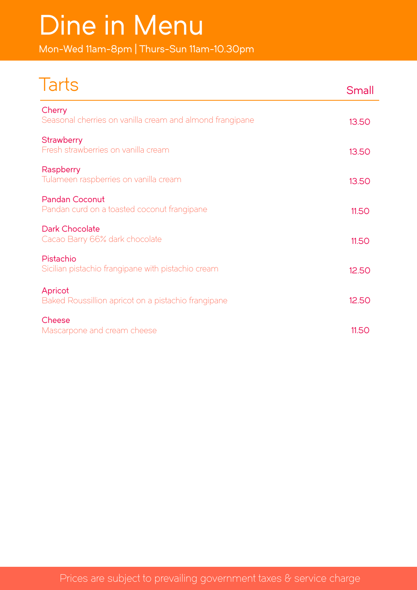# Dine in Menu

Mon-Wed 11am-8pm | Thurs-Sun 11am-10.30pm

| Tarts                                                                | Small |
|----------------------------------------------------------------------|-------|
| Cherry<br>Seasonal cherries on vanilla cream and almond frangipane   | 13.50 |
| <b>Strawberry</b><br>Fresh strawberries on vanilla cream             | 13.50 |
| Raspberry<br>Tulameen raspberries on vanilla cream                   | 13.50 |
| <b>Pandan Coconut</b><br>Pandan curd on a toasted coconut frangipane | 11.50 |
| Dark Chocolate<br>Cacao Barry 66% dark chocolate                     | 11.50 |
| Pistachio<br>Sicilian pistachio frangipane with pistachio cream      | 12.50 |
| Apricot<br>Baked Roussillion apricot on a pistachio frangipane       | 12.50 |
| Cheese<br>Mascarpone and cream cheese                                | 11.50 |